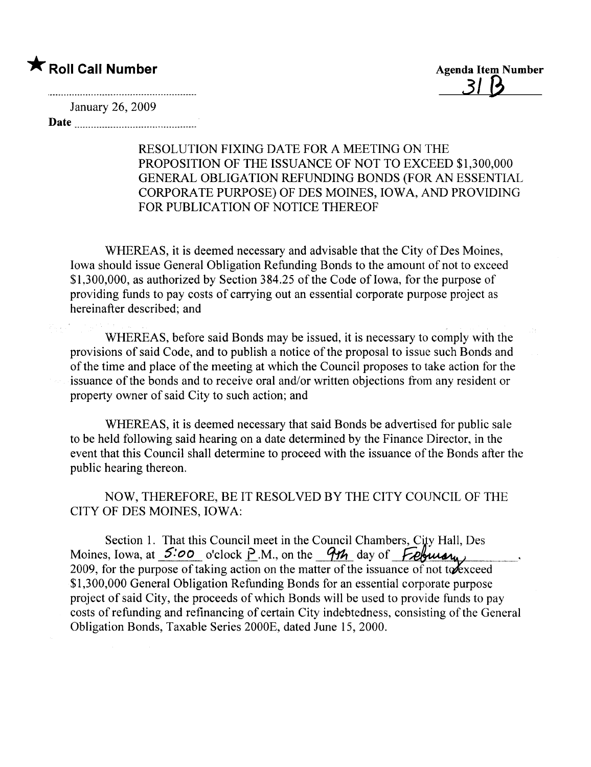# \* Roll Call Number Agenda Item Number

3/ B

January 26, 2009

Date <u>music communication</u>

### RESOLUTION FIXING DATE FOR A MEETING ON THE PROPOSITION OF THE ISSUANCE OF NOT TO EXCEED \$1,300,000 GENERAL OBLIGATION REFUNDING BONDS (FOR AN ESSENTIAL CORPORATE PURPOSE) OF DES MOINES, IOWA, AND PROVIDING FOR PUBLICATION OF NOTICE THEREOF

WHEREAS, it is deemed necessary and advisable that the City of Des Moines, Iowa should issue General Obligation Refunding Bonds to the amount of not to exceed \$1,300,000, as authorized by Section 384.25 of the Code of Iowa, for the purpose of providing funds to pay costs of carrying out an essential corporate purpose project as hereinafter described; and

WHEREAS, before said Bonds may be issued, it is necessary to comply with the provisions of said Code, and to publish a notice of the proposal to issue such Bonds and of the time and place of the meeting at which the Council proposes to take action for the issuance of the bonds and to receive oral and/or written objections from any resident or property owner of said City to such action; and

WHEREAS, it is deemed necessary that said Bonds be advertised for public sale to be held following said hearing on a date determined by the Finance Director, in the event that this Council shall determine to proceed with the issuance of the Bonds after the public hearing thereon.

NOW, THEREFORE, BE IT RESOLVED BY THE CITY COUNCIL OF THE CITY OF DES MOINES, IOWA:

Section 1. That this Council meet in the Council Chambers, City Hall, Des Moines, Iowa, at  $5:00$  o'clock P.M., on the 9th day of February 2009, for the purpose of taking action on the matter of the issuance of not to exceed \$1,300,000 General Obligation Refunding Bonds for an essential corporate purpose project of said City, the proceeds of which Bonds wil be used to provide funds to pay costs of refunding and refinancing of certain City indebtedness, consisting of the General Obligation Bonds, Taxable Series 2000E, dated June 15, 2000.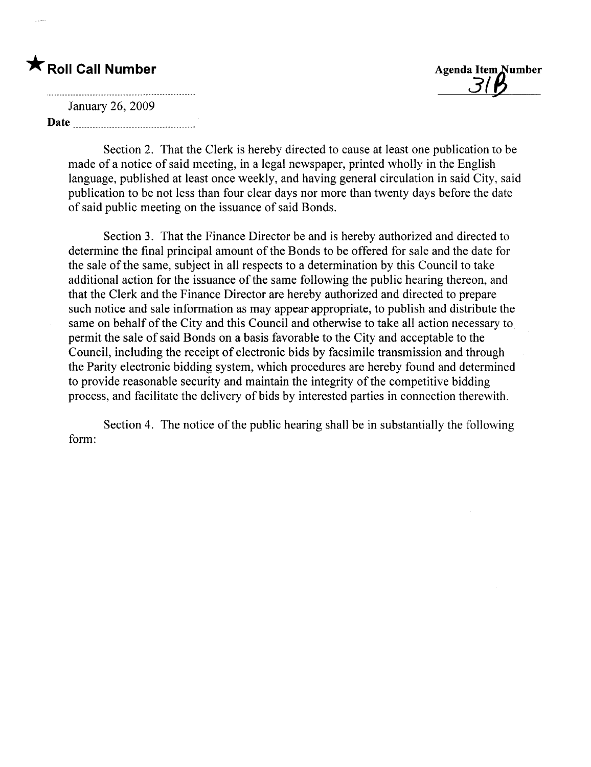# \* Roll Call Number Agenda Item Number

 $\frac{3}{3}$ 

and the contract of the contract of the contract of the contract of the contract of the contract of the contract of January 26, 2009 Date

> Section 2. That the Clerk is hereby directed to cause at least one publication to be made of a notice of said meeting, in a legal newspaper, printed wholly in the English language, published at least once weekly, and having general circulation in said City, said publication to be not less than four clear days nor more than twenty days before the date of said public meeting on the issuance of said Bonds.

Section 3. That the Finance Director be and is hereby authorized and directed to determine the final principal amount of the Bonds to be offered for sale and the date for the sale of the same, subject in all respects to a determination by this Council to take additional action for the issuance of the same following the public hearing thereon, and that the Clerk and the Finance Director are hereby authorized and directed to prepare such notice and sale information as may appear appropriate, to publish and distribute the same on behalf of the City and this Council and otherwise to take all action necessary to permit the sale of said Bonds on a basis favorable to the City and acceptable to the Council, including the receipt of electronic bids by facsimile transmission and through the Parity electronic bidding system, which procedures are hereby found and determined to provide reasonable security and maintain the integrity of the competitive bidding process, and faciltate the delivery of bids by interested parties in connection therewith.

Section 4. The notice of the public hearing shall be in substantially the following form: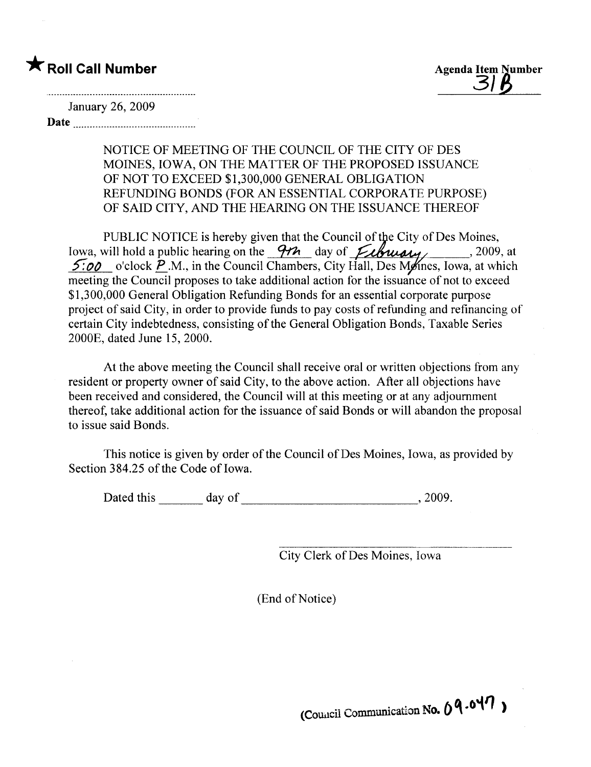## \* Roll Call Number Agenda Item Number

#### January 26,2009

Date and the set of the set of the set of the set of the set of the set of the set of the set of the set of the set of the set of the set of the set of the set of the set of the set of the set of the set of the set of the

### NOTICE OF MEETING OF THE COUNCIL OF THE CITY OF DES MOINES, IOWA, ON THE MATTER OF THE PROPOSED ISSUANCE OF NOT TO EXCEED \$1,300,000 GENERAL OBLIGATION REFUNDING BONDS (FOR AN ESSENTIAL CORPORATE PURPOSE) OF SAID CITY, AND THE HEARING ON THE ISSUANCE THEREOF

PUBLIC NOTICE is hereby given that the Council of the City of Des Moines, Iowa, will hold a public hearing on the  $\frac{9\%}{100}$  day of  $\frac{6}{100}$   $\frac{6}{100}$ , at 5:00 o'clock  $\overline{P}$ .M., in the Council Chambers, City Hall, Des Mones, Iowa, at which meeting the Council proposes to take additional action for the issuance of not to exceed \$1,300,000 General Obligation Refunding Bonds for an essential corporate purpose project of said City, in order to provide funds to pay costs of refunding and refinancing of certain City indebtedness, consisting of the General Obligation Bonds, Taxable Series 2000E, dated June 15, 2000.

At the above meeting the Council shall receive oral or written objections from any resident or property owner of said City, to the above action. After all objections have been received and considered, the Council will at this meeting or at any adjournment thereof, take additional action for the issuance of said Bonds or wil abandon the proposal to issue said Bonds.

This notice is given by order of the Council of Des Moines, Iowa, as provided by Section 384.25 of the Code of Iowa.

Dated this day of , 2009.

City Clerk of Des Moines, Iowa

(End of Notice)

(Council Communication No.  $04.047$ )